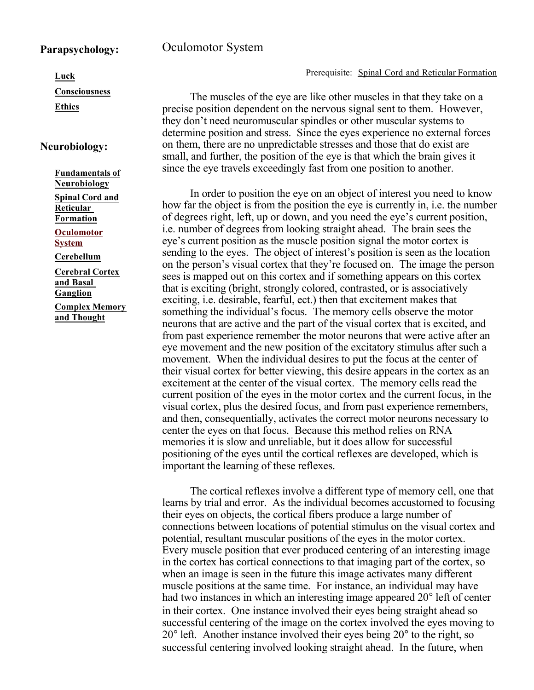## **Parapsychology:**

## Oculomotor System

## Prerequisite: Spinal Cord and Reticular Formation

The muscles of the eye are like other muscles in that they take on a precise position dependent on the nervous signal sent to them. However, they don't need neuromuscular spindles or other muscular systems to determine position and stress. Since the eyes experience no external forces on them, there are no unpredictable stresses and those that do exist are small, and further, the position of the eye is that which the brain gives it since the eye travels exceedingly fast from one position to another.

In order to position the eye on an object of interest you need to know how far the object is from the position the eye is currently in, i.e. the number of degrees right, left, up or down, and you need the eye's current position, i.e. number of degrees from looking straight ahead. The brain sees the eye's current position as the muscle position signal the motor cortex is sending to the eyes. The object of interest's position is seen as the location on the person's visual cortex that they're focused on. The image the person sees is mapped out on this cortex and if something appears on this cortex that is exciting (bright, strongly colored, contrasted, or is associatively exciting, i.e. desirable, fearful, ect.) then that excitement makes that something the individual's focus. The memory cells observe the motor neurons that are active and the part of the visual cortex that is excited, and from past experience remember the motor neurons that were active after an eye movement and the new position of the excitatory stimulus after such a movement. When the individual desires to put the focus at the center of their visual cortex for better viewing, this desire appears in the cortex as an excitement at the center of the visual cortex. The memory cells read the current position of the eyes in the motor cortex and the current focus, in the visual cortex, plus the desired focus, and from past experience remembers, and then, consequentially, activates the correct motor neurons necessary to center the eyes on that focus. Because this method relies on RNA memories it is slow and unreliable, but it does allow for successful positioning of the eyes until the cortical reflexes are developed, which is important the learning of these reflexes.

The cortical reflexes involve a different type of memory cell, one that learns by trial and error. As the individual becomes accustomed to focusing their eyes on objects, the cortical fibers produce a large number of connections between locations of potential stimulus on the visual cortex and potential, resultant muscular positions of the eyes in the motor cortex. Every muscle position that ever produced centering of an interesting image in the cortex has cortical connections to that imaging part of the cortex, so when an image is seen in the future this image activates many different muscle positions at the same time. For instance, an individual may have had two instances in which an interesting image appeared 20° left of center in their cortex. One instance involved their eyes being straight ahead so successful centering of the image on the cortex involved the eyes moving to 20 ° left. Another instance involved their eyes being 20° to the right, so successful centering involved looking straight ahead. In the future, when

**Luck**

 **Consciousness**

**Ethics**

## **Neurobiology:**

 **Fundamentals of Neurobiology**

 **Spinal Cord and Reticular Formation**

 **Oculomotor System**

 **Cerebellum**

 **Cerebral Cortex and Basal Ganglion Complex Memory and Thought**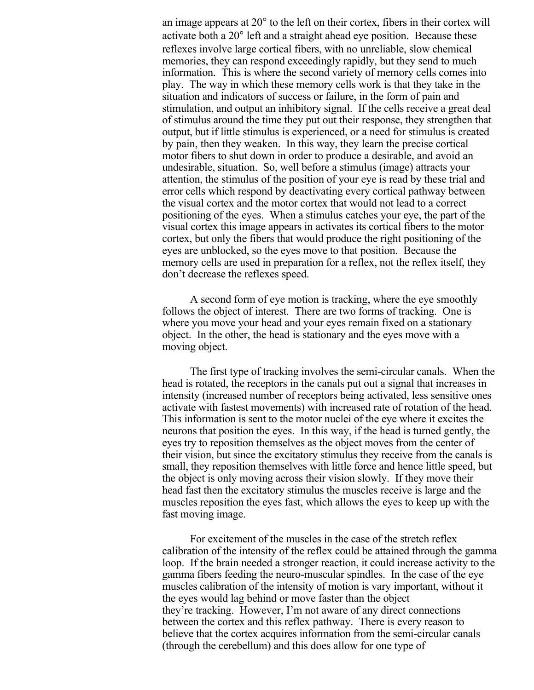an image appears at 20° to the left on their cortex, fibers in their cortex will activate both a 20° left and a straight ahead eye position. Because these reflexes involve large cortical fibers, with no unreliable, slow chemical memories, they can respond exceedingly rapidly, but they send to much information. This is where the second variety of memory cells comes into play. The way in which these memory cells work is that they take in the situation and indicators of success or failure, in the form of pain and stimulation, and output an inhibitory signal. If the cells receive a great deal of stimulus around the time they put out their response, they strengthen that output, but if little stimulus is experienced, or a need for stimulus is created by pain, then they weaken. In this way, they learn the precise cortical motor fibers to shut down in order to produce a desirable, and avoid an undesirable, situation. So, well before a stimulus (image) attracts your attention, the stimulus of the position of your eye is read by these trial and error cells which respond by deactivating every cortical pathway between the visual cortex and the motor cortex that would not lead to a correct positioning of the eyes. When a stimulus catches your eye, the part of the visual cortex this image appears in activates its cortical fibers to the motor cortex, but only the fibers that would produce the right positioning of the eyes are unblocked, so the eyes move to that position. Because the memory cells are used in preparation for a reflex, not the reflex itself, they don't decrease the reflexes speed.

A second form of eye motion is tracking, where the eye smoothly follows the object of interest. There are two forms of tracking. One is where you move your head and your eyes remain fixed on a stationary object. In the other, the head is stationary and the eyes move with a moving object.

The first type of tracking involves the semi-circular canals. When the head is rotated, the receptors in the canals put out a signal that increases in intensity (increased number of receptors being activated, less sensitive ones activate with fastest movements) with increased rate of rotation of the head. This information is sent to the motor nuclei of the eye where it excites the neurons that position the eyes. In this way, if the head is turned gently, the eyes try to reposition themselves as the object moves from the center of their vision, but since the excitatory stimulus they receive from the canals is small, they reposition themselves with little force and hence little speed, but the object is only moving across their vision slowly. If they move their head fast then the excitatory stimulus the muscles receive is large and the muscles reposition the eyes fast, which allows the eyes to keep up with the fast moving image.

For excitement of the muscles in the case of the stretch reflex calibration of the intensity of the reflex could be attained through the gamma loop. If the brain needed a stronger reaction, it could increase activity to the gamma fibers feeding the neuro-muscular spindles. In the case of the eye muscles calibration of the intensity of motion is vary important, without it the eyes would lag behind or move faster than the object they're tracking. However, I'm not aware of any direct connections between the cortex and this reflex pathway. There is every reason to believe that the cortex acquires information from the semi-circular canals (through the cerebellum) and this does allow for one type of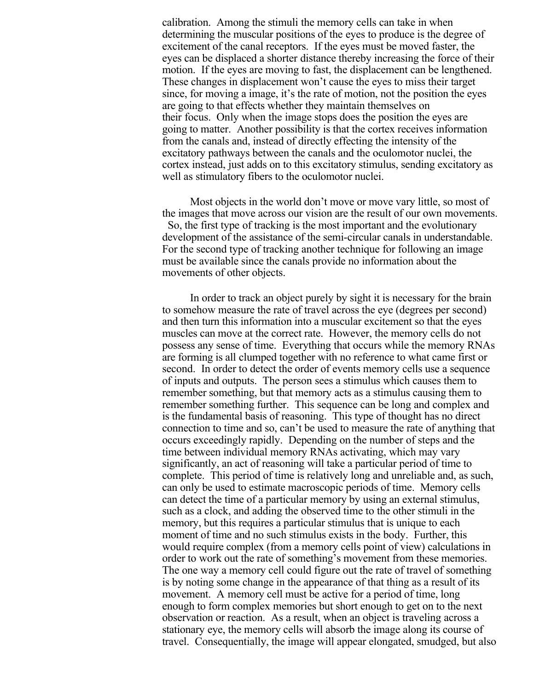calibration. Among the stimuli the memory cells can take in when determining the muscular positions of the eyes to produce is the degree of excitement of the canal receptors. If the eyes must be moved faster, the eyes can be displaced a shorter distance thereby increasing the force of their motion. If the eyes are moving to fast, the displacement can be lengthened. These changes in displacement won't cause the eyes to miss their target since, for moving a image, it's the rate of motion, not the position the eyes are going to that effects whether they maintain themselves on their focus. Only when the image stops does the position the eyes are going to matter. Another possibility is that the cortex receives information from the canals and, instead of directly effecting the intensity of the excitatory pathways between the canals and the oculomotor nuclei, the cortex instead, just adds on to this excitatory stimulus, sending excitatory as well as stimulatory fibers to the oculomotor nuclei.

Most objects in the world don't move or move vary little, so most of the images that move across our vision are the result of our own movements. So, the first type of tracking is the most important and the evolutionary development of the assistance of the semi-circular canals in understandable. For the second type of tracking another technique for following an image must be available since the canals provide no information about the movements of other objects.

In order to track an object purely by sight it is necessary for the brain to somehow measure the rate of travel across the eye (degrees per second) and then turn this information into a muscular excitement so that the eyes muscles can move at the correct rate. However, the memory cells do not possess any sense of time. Everything that occurs while the memory RNAs are forming is all clumped together with no reference to what came first or second. In order to detect the order of events memory cells use a sequence of inputs and outputs. The person sees a stimulus which causes them to remember something, but that memory acts as a stimulus causing them to remember something further. This sequence can be long and complex and is the fundamental basis of reasoning. This type of thought has no direct connection to time and so, can't be used to measure the rate of anything that occurs exceedingly rapidly. Depending on the number of steps and the time between individual memory RNAs activating, which may vary significantly, an act of reasoning will take a particular period of time to complete. This period of time is relatively long and unreliable and, as such, can only be used to estimate macroscopic periods of time. Memory cells can detect the time of a particular memory by using an external stimulus, such as a clock, and adding the observed time to the other stimuli in the memory, but this requires a particular stimulus that is unique to each moment of time and no such stimulus exists in the body. Further, this would require complex (from a memory cells point of view) calculations in order to work out the rate of something's movement from these memories. The one way a memory cell could figure out the rate of travel of something is by noting some change in the appearance of that thing as a result of its movement. A memory cell must be active for a period of time, long enough to form complex memories but short enough to get on to the next observation or reaction. As a result, when an object is traveling across a stationary eye, the memory cells will absorb the image along its course of travel. Consequentially, the image will appear elongated, smudged, but also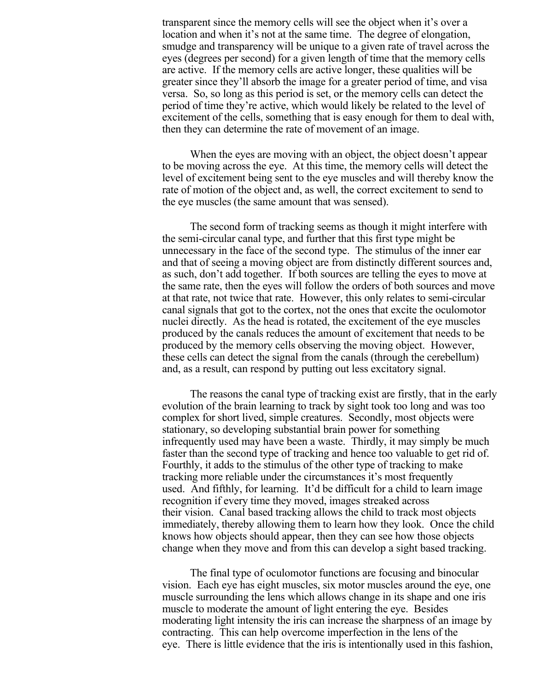transparent since the memory cells will see the object when it's over a location and when it's not at the same time. The degree of elongation, smudge and transparency will be unique to a given rate of travel across the eyes (degrees per second) for a given length of time that the memory cells are active. If the memory cells are active longer, these qualities will be greater since they'll absorb the image for a greater period of time, and visa versa. So, so long as this period is set, or the memory cells can detect the period of time they're active, which would likely be related to the level of excitement of the cells, something that is easy enough for them to deal with, then they can determine the rate of movement of an image.

When the eyes are moving with an object, the object doesn't appear to be moving across the eye. At this time, the memory cells will detect the level of excitement being sent to the eye muscles and will thereby know the rate of motion of the object and, as well, the correct excitement to send to the eye muscles (the same amount that was sensed).

The second form of tracking seems as though it might interfere with the semi-circular canal type, and further that this first type might be unnecessary in the face of the second type. The stimulus of the inner ear and that of seeing a moving object are from distinctly different sources and, as such, don't add together. If both sources are telling the eyes to move at the same rate, then the eyes will follow the orders of both sources and move at that rate, not twice that rate. However, this only relates to semi-circular canal signals that got to the cortex, not the ones that excite the oculomotor nuclei directly. As the head is rotated, the excitement of the eye muscles produced by the canals reduces the amount of excitement that needs to be produced by the memory cells observing the moving object. However, these cells can detect the signal from the canals (through the cerebellum) and, as a result, can respond by putting out less excitatory signal.

The reasons the canal type of tracking exist are firstly, that in the early evolution of the brain learning to track by sight took too long and was too complex for short lived, simple creatures. Secondly, most objects were stationary, so developing substantial brain power for something infrequently used may have been a waste. Thirdly, it may simply be much faster than the second type of tracking and hence too valuable to get rid of. Fourthly, it adds to the stimulus of the other type of tracking to make tracking more reliable under the circumstances it's most frequently used. And fifthly, for learning. It'd be difficult for a child to learn image recognition if every time they moved, images streaked across their vision. Canal based tracking allows the child to track most objects immediately, thereby allowing them to learn how they look. Once the child knows how objects should appear, then they can see how those objects change when they move and from this can develop a sight based tracking.

The final type of oculomotor functions are focusing and binocular vision. Each eye has eight muscles, six motor muscles around the eye, one muscle surrounding the lens which allows change in its shape and one iris muscle to moderate the amount of light entering the eye. Besides moderating light intensity the iris can increase the sharpness of an image by contracting. This can help overcome imperfection in the lens of the eye. There is little evidence that the iris is intentionally used in this fashion,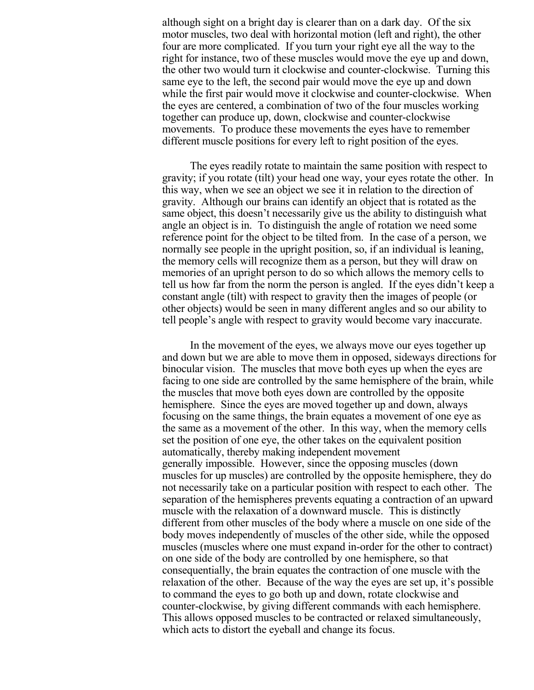although sight on a bright day is clearer than on a dark day. Of the six motor muscles, two deal with horizontal motion (left and right), the other four are more complicated. If you turn your right eye all the way to the right for instance, two of these muscles would move the eye up and down, the other two would turn it clockwise and counter-clockwise. Turning this same eye to the left, the second pair would move the eye up and down while the first pair would move it clockwise and counter-clockwise. When the eyes are centered, a combination of two of the four muscles working together can produce up, down, clockwise and counter-clockwise movements. To produce these movements the eyes have to remember different muscle positions for every left to right position of the eyes.

The eyes readily rotate to maintain the same position with respect to gravity; if you rotate (tilt) your head one way, your eyes rotate the other. In this way, when we see an object we see it in relation to the direction of gravity. Although our brains can identify an object that is rotated as the same object, this doesn't necessarily give us the ability to distinguish what angle an object is in. To distinguish the angle of rotation we need some reference point for the object to be tilted from. In the case of a person, we normally see people in the upright position, so, if an individual is leaning, the memory cells will recognize them as a person, but they will draw on memories of an upright person to do so which allows the memory cells to tell us how far from the norm the person is angled. If the eyes didn't keep a constant angle (tilt) with respect to gravity then the images of people (or other objects) would be seen in many different angles and so our ability to tell people's angle with respect to gravity would become vary inaccurate.

In the movement of the eyes, we always move our eyes together up and down but we are able to move them in opposed, sideways directions for binocular vision. The muscles that move both eyes up when the eyes are facing to one side are controlled by the same hemisphere of the brain, while the muscles that move both eyes down are controlled by the opposite hemisphere. Since the eyes are moved together up and down, always focusing on the same things, the brain equates a movement of one eye as the same as a movement of the other. In this way, when the memory cells set the position of one eye, the other takes on the equivalent position automatically, thereby making independent movement generally impossible. However, since the opposing muscles (down muscles for up muscles) are controlled by the opposite hemisphere, they do not necessarily take on a particular position with respect to each other. The separation of the hemispheres prevents equating a contraction of an upward muscle with the relaxation of a downward muscle. This is distinctly different from other muscles of the body where a muscle on one side of the body moves independently of muscles of the other side, while the opposed muscles (muscles where one must expand in-order for the other to contract) on one side of the body are controlled by one hemisphere, so that consequentially, the brain equates the contraction of one muscle with the relaxation of the other. Because of the way the eyes are set up, it's possible to command the eyes to go both up and down, rotate clockwise and counter-clockwise, by giving different commands with each hemisphere. This allows opposed muscles to be contracted or relaxed simultaneously, which acts to distort the eyeball and change its focus.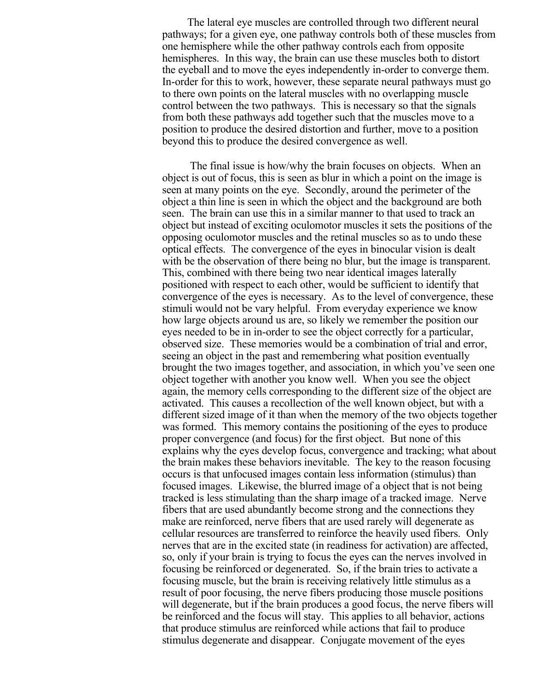The lateral eye muscles are controlled through two different neural pathways; for a given eye, one pathway controls both of these muscles from one hemisphere while the other pathway controls each from opposite hemispheres. In this way, the brain can use these muscles both to distort the eyeball and to move the eyes independently in-order to converge them. In-order for this to work, however, these separate neural pathways must go to there own points on the lateral muscles with no overlapping muscle control between the two pathways. This is necessary so that the signals from both these pathways add together such that the muscles move to a position to produce the desired distortion and further, move to a position beyond this to produce the desired convergence as well.

The final issue is how/why the brain focuses on objects. When an object is out of focus, this is seen as blur in which a point on the image is seen at many points on the eye. Secondly, around the perimeter of the object a thin line is seen in which the object and the background are both seen. The brain can use this in a similar manner to that used to track an object but instead of exciting oculomotor muscles it sets the positions of the opposing oculomotor muscles and the retinal muscles so as to undo these optical effects. The convergence of the eyes in binocular vision is dealt with be the observation of there being no blur, but the image is transparent. This, combined with there being two near identical images laterally positioned with respect to each other, would be sufficient to identify that convergence of the eyes is necessary. As to the level of convergence, these stimuli would not be vary helpful. From everyday experience we know how large objects around us are, so likely we remember the position our eyes needed to be in in-order to see the object correctly for a particular, observed size. These memories would be a combination of trial and error, seeing an object in the past and remembering what position eventually brought the two images together, and association, in which you've seen one object together with another you know well. When you see the object again, the memory cells corresponding to the different size of the object are activated. This causes a recollection of the well known object, but with a different sized image of it than when the memory of the two objects together was formed. This memory contains the positioning of the eyes to produce proper convergence (and focus) for the first object. But none of this explains why the eyes develop focus, convergence and tracking; what about the brain makes these behaviors inevitable. The key to the reason focusing occurs is that unfocused images contain less information (stimulus) than focused images. Likewise, the blurred image of a object that is not being tracked is less stimulating than the sharp image of a tracked image. Nerve fibers that are used abundantly become strong and the connections they make are reinforced, nerve fibers that are used rarely will degenerate as cellular resources are transferred to reinforce the heavily used fibers. Only nerves that are in the excited state (in readiness for activation) are affected, so, only if your brain is trying to focus the eyes can the nerves involved in focusing be reinforced or degenerated. So, if the brain tries to activate a focusing muscle, but the brain is receiving relatively little stimulus as a result of poor focusing, the nerve fibers producing those muscle positions will degenerate, but if the brain produces a good focus, the nerve fibers will be reinforced and the focus will stay. This applies to all behavior, actions that produce stimulus are reinforced while actions that fail to produce stimulus degenerate and disappear. Conjugate movement of the eyes